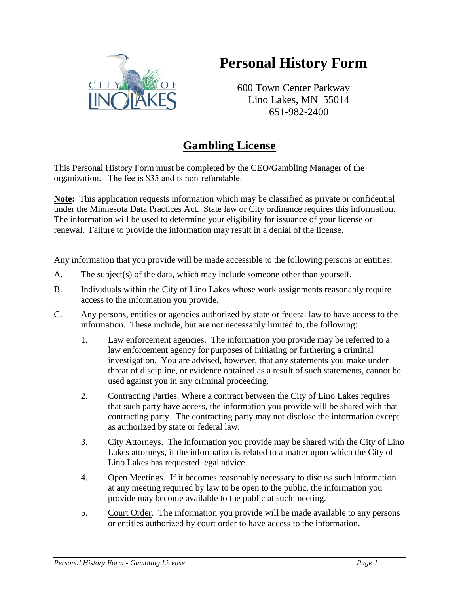## **Personal History Form**



600 Town Center Parkway Lino Lakes, MN 55014 651-982-2400

## **Gambling License**

This Personal History Form must be completed by the CEO/Gambling Manager of the organization. The fee is \$35 and is non-refundable.

**Note:** This application requests information which may be classified as private or confidential under the Minnesota Data Practices Act. State law or City ordinance requires this information. The information will be used to determine your eligibility for issuance of your license or renewal. Failure to provide the information may result in a denial of the license.

Any information that you provide will be made accessible to the following persons or entities:

- A. The subject(s) of the data, which may include someone other than yourself.
- B. Individuals within the City of Lino Lakes whose work assignments reasonably require access to the information you provide.
- C. Any persons, entities or agencies authorized by state or federal law to have access to the information. These include, but are not necessarily limited to, the following:
	- 1. Law enforcement agencies. The information you provide may be referred to a law enforcement agency for purposes of initiating or furthering a criminal investigation. You are advised, however, that any statements you make under threat of discipline, or evidence obtained as a result of such statements, cannot be used against you in any criminal proceeding.
	- 2. Contracting Parties. Where a contract between the City of Lino Lakes requires that such party have access, the information you provide will be shared with that contracting party. The contracting party may not disclose the information except as authorized by state or federal law.
	- 3. City Attorneys. The information you provide may be shared with the City of Lino Lakes attorneys, if the information is related to a matter upon which the City of Lino Lakes has requested legal advice.
	- 4. Open Meetings. If it becomes reasonably necessary to discuss such information at any meeting required by law to be open to the public, the information you provide may become available to the public at such meeting.
	- 5. Court Order. The information you provide will be made available to any persons or entities authorized by court order to have access to the information.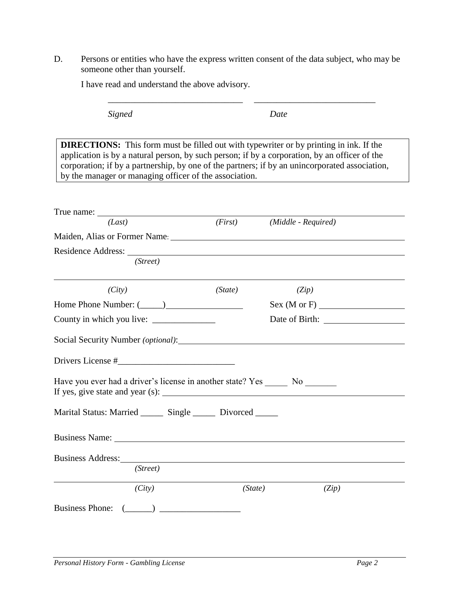D. Persons or entities who have the express written consent of the data subject, who may be someone other than yourself.

\_\_\_\_\_\_\_\_\_\_\_\_\_\_\_\_\_\_\_\_\_\_\_\_\_\_\_\_\_\_ \_\_\_\_\_\_\_\_\_\_\_\_\_\_\_\_\_\_\_\_\_\_\_\_\_\_\_

| I have read and understand the above advisory. |  |
|------------------------------------------------|--|
|------------------------------------------------|--|

| Signed                                                                                                                                                                                                                                                                                                                                                     | Date    |                                        |                                                               |
|------------------------------------------------------------------------------------------------------------------------------------------------------------------------------------------------------------------------------------------------------------------------------------------------------------------------------------------------------------|---------|----------------------------------------|---------------------------------------------------------------|
| <b>DIRECTIONS:</b> This form must be filled out with typewriter or by printing in ink. If the<br>application is by a natural person, by such person; if by a corporation, by an officer of the<br>corporation; if by a partnership, by one of the partners; if by an unincorporated association,<br>by the manager or managing officer of the association. |         |                                        | <u> 1980 - Jan Barat, margaret eta politikaria (h. 1980).</u> |
|                                                                                                                                                                                                                                                                                                                                                            |         |                                        |                                                               |
| (Last)                                                                                                                                                                                                                                                                                                                                                     |         | $(First)$ ( <i>Middle - Required</i> ) |                                                               |
| Maiden, Alias or Former Name: 1986. [19] Maiden, Alias or Former Name: 1986. [19] Maiden, Alias or Former Name:                                                                                                                                                                                                                                            |         |                                        |                                                               |
|                                                                                                                                                                                                                                                                                                                                                            |         |                                        |                                                               |
| (Street)                                                                                                                                                                                                                                                                                                                                                   |         |                                        |                                                               |
| (City)                                                                                                                                                                                                                                                                                                                                                     | (State) | (Zip)                                  |                                                               |
|                                                                                                                                                                                                                                                                                                                                                            |         |                                        | Sex(M or F)                                                   |
|                                                                                                                                                                                                                                                                                                                                                            |         |                                        |                                                               |
| Social Security Number ( <i>optional</i> ):                                                                                                                                                                                                                                                                                                                |         |                                        |                                                               |
|                                                                                                                                                                                                                                                                                                                                                            |         |                                        |                                                               |
| Have you ever had a driver's license in another state? Yes _______ No ________                                                                                                                                                                                                                                                                             |         |                                        |                                                               |
| Marital Status: Married _______ Single ______ Divorced ______                                                                                                                                                                                                                                                                                              |         |                                        |                                                               |
|                                                                                                                                                                                                                                                                                                                                                            |         |                                        |                                                               |
| <b>Business Address:</b><br>(Street)                                                                                                                                                                                                                                                                                                                       |         |                                        |                                                               |
| (City)                                                                                                                                                                                                                                                                                                                                                     | (State) |                                        | (Zip)                                                         |
| <b>Business Phone:</b>                                                                                                                                                                                                                                                                                                                                     |         |                                        |                                                               |